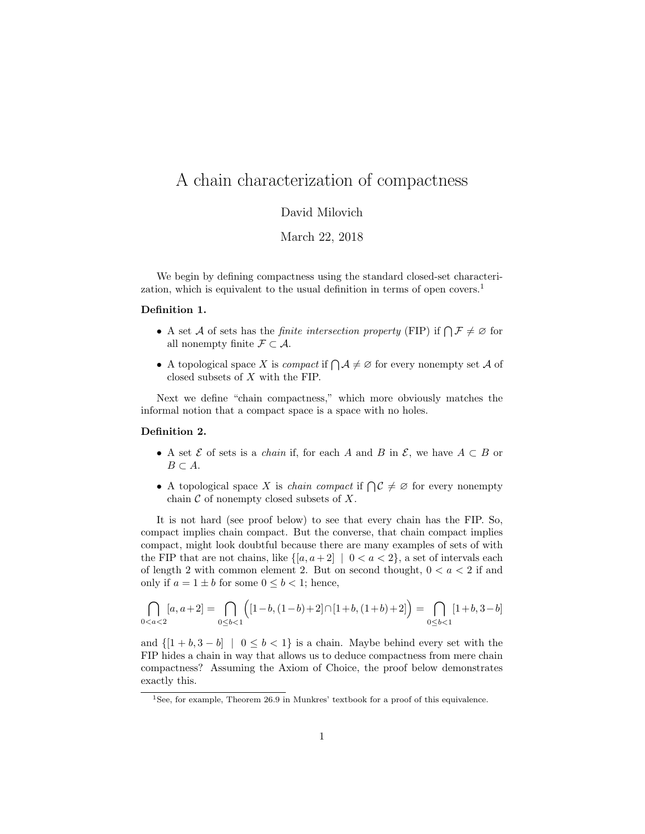# A chain characterization of compactness

# David Milovich

## March 22, 2018

We begin by defining compactness using the standard closed-set characterization, which is equivalent to the usual definition in terms of open covers.<sup>1</sup>

#### Definition 1.

- A set A of sets has the *finite intersection property* (FIP) if  $\bigcap \mathcal{F} \neq \emptyset$  for all nonempty finite  $\mathcal{F} \subset \mathcal{A}$ .
- A topological space X is *compact* if  $\bigcap \mathcal{A} \neq \emptyset$  for every nonempty set A of closed subsets of X with the FIP.

Next we define "chain compactness," which more obviously matches the informal notion that a compact space is a space with no holes.

## Definition 2.

- A set  $\mathcal E$  of sets is a *chain* if, for each A and B in  $\mathcal E$ , we have  $A \subset B$  or  $B \subset A$ .
- A topological space X is *chain compact* if  $\bigcap \mathcal{C} \neq \emptyset$  for every nonempty chain  $\mathcal C$  of nonempty closed subsets of  $X$ .

It is not hard (see proof below) to see that every chain has the FIP. So, compact implies chain compact. But the converse, that chain compact implies compact, might look doubtful because there are many examples of sets of with the FIP that are not chains, like  $\{[a, a + 2] \mid 0 < a < 2\}$ , a set of intervals each of length 2 with common element 2. But on second thought,  $0 < a < 2$  if and only if  $a = 1 \pm b$  for some  $0 \leq b < 1$ ; hence,

$$
\bigcap_{0 < a < 2} [a, a+2] = \bigcap_{0 \le b < 1} \Big( [1-b, (1-b) + 2] \cap [1+b, (1+b) + 2] \Big) = \bigcap_{0 \le b < 1} [1+b, 3-b]
$$

and  $\{[1 + b, 3 - b] \mid 0 \leq b < 1\}$  is a chain. Maybe behind every set with the FIP hides a chain in way that allows us to deduce compactness from mere chain compactness? Assuming the Axiom of Choice, the proof below demonstrates exactly this.

 $1$ See, for example, Theorem 26.9 in Munkres' textbook for a proof of this equivalence.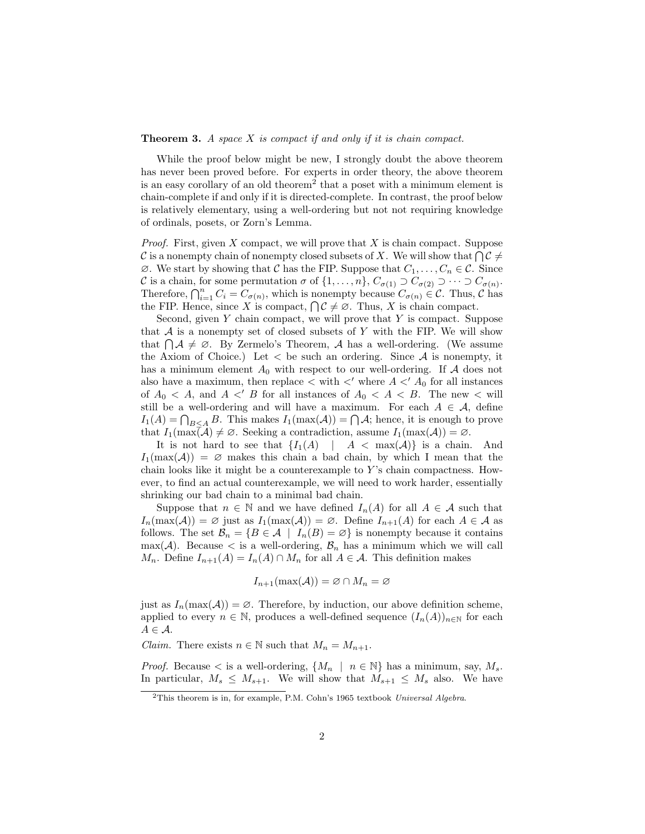## **Theorem 3.** A space  $X$  is compact if and only if it is chain compact.

While the proof below might be new, I strongly doubt the above theorem has never been proved before. For experts in order theory, the above theorem is an easy corollary of an old theorem<sup>2</sup> that a poset with a minimum element is chain-complete if and only if it is directed-complete. In contrast, the proof below is relatively elementary, using a well-ordering but not not requiring knowledge of ordinals, posets, or Zorn's Lemma.

*Proof.* First, given  $X$  compact, we will prove that  $X$  is chain compact. Suppose C is a nonempty chain of nonempty closed subsets of X. We will show that  $\bigcap \mathcal{C} \neq \emptyset$  $\emptyset$ . We start by showing that C has the FIP. Suppose that  $C_1, \ldots, C_n \in \mathcal{C}$ . Since C is a chain, for some permutation  $\sigma$  of  $\{1,\ldots,n\}$ ,  $C_{\sigma(1)} \supset C_{\sigma(2)} \supset \cdots \supset C_{\sigma(n)}$ . Therefore,  $\bigcap_{i=1}^n C_i = C_{\sigma(n)}$ , which is nonempty because  $C_{\sigma(n)} \in \mathcal{C}$ . Thus,  $\mathcal{C}$  has the FIP. Hence, since X is compact,  $\bigcap \mathcal{C} \neq \emptyset$ . Thus, X is chain compact.

Second, given  $Y$  chain compact, we will prove that  $Y$  is compact. Suppose that  $A$  is a nonempty set of closed subsets of Y with the FIP. We will show that  $\bigcap \mathcal{A} \neq \emptyset$ . By Zermelo's Theorem,  $\mathcal{A}$  has a well-ordering. (We assume the Axiom of Choice.) Let  $\langle$  be such an ordering. Since  $\mathcal A$  is nonempty, it has a minimum element  $A_0$  with respect to our well-ordering. If A does not also have a maximum, then replace  $\lt$  with  $\lt'$  where  $A \lt' A_0$  for all instances of  $A_0 < A$ , and  $A <' B$  for all instances of  $A_0 < A < B$ . The new  $\lt$  will still be a well-ordering and will have a maximum. For each  $A \in \mathcal{A}$ , define  $I_1(A) = \bigcap_{B \leq A} B$ . This makes  $I_1(\max(A)) = \bigcap A$ ; hence, it is enough to prove that  $I_1(\max(\mathcal{A}) \neq \emptyset$ . Seeking a contradiction, assume  $I_1(\max(\mathcal{A})) = \emptyset$ .

It is not hard to see that  $\{I_1(A) \mid A \leq \max(A)\}\$ is a chain. And  $I_1(\max(\mathcal{A})) = \emptyset$  makes this chain a bad chain, by which I mean that the chain looks like it might be a counterexample to  $Y$ 's chain compactness. However, to find an actual counterexample, we will need to work harder, essentially shrinking our bad chain to a minimal bad chain.

Suppose that  $n \in \mathbb{N}$  and we have defined  $I_n(A)$  for all  $A \in \mathcal{A}$  such that  $I_n(\max(\mathcal{A})) = \emptyset$  just as  $I_1(\max(\mathcal{A})) = \emptyset$ . Define  $I_{n+1}(A)$  for each  $A \in \mathcal{A}$  as follows. The set  $\mathcal{B}_n = \{B \in \mathcal{A} \mid I_n(B) = \emptyset\}$  is nonempty because it contains  $\max(\mathcal{A})$ . Because  $\lt$  is a well-ordering,  $\mathcal{B}_n$  has a minimum which we will call  $M_n$ . Define  $I_{n+1}(A) = I_n(A) \cap M_n$  for all  $A \in \mathcal{A}$ . This definition makes

$$
I_{n+1}(\max(\mathcal{A})) = \varnothing \cap M_n = \varnothing
$$

just as  $I_n(\max(\mathcal{A})) = \emptyset$ . Therefore, by induction, our above definition scheme, applied to every  $n \in \mathbb{N}$ , produces a well-defined sequence  $(I_n(A))_{n\in\mathbb{N}}$  for each  $A \in \mathcal{A}$ .

*Claim.* There exists  $n \in \mathbb{N}$  such that  $M_n = M_{n+1}$ .

*Proof.* Because  $\lt$  is a well-ordering,  $\{M_n \mid n \in \mathbb{N}\}\$  has a minimum, say,  $M_s$ . In particular,  $M_s \leq M_{s+1}$ . We will show that  $M_{s+1} \leq M_s$  also. We have

<sup>&</sup>lt;sup>2</sup>This theorem is in, for example, P.M. Cohn's 1965 textbook Universal Algebra.